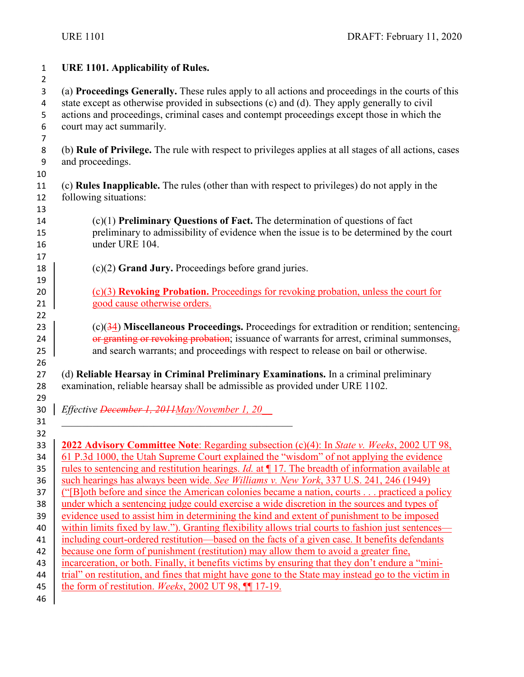| ł |
|---|
|   |

**URE 1101. Applicability of Rules.**

 (a) **Proceedings Generally.** These rules apply to all actions and proceedings in the courts of this 4 state except as otherwise provided in subsections (c) and (d). They apply generally to civil actions and proceedings, criminal cases and contempt proceedings except those in which the court may act summarily. 

 (b) **Rule of Privilege.** The rule with respect to privileges applies at all stages of all actions, cases and proceedings.

- (c) **Rules Inapplicable.** The rules (other than with respect to privileges) do not apply in the following situations:
- (c)(1) **Preliminary Questions of Fact.** The determination of questions of fact preliminary to admissibility of evidence when the issue is to be determined by the court under URE 104.
- (c)(2) **Grand Jury.** Proceedings before grand juries.
- 20 (c)(3) **Revoking Probation.** Proceedings for revoking probation, unless the court for 21 good cause otherwise orders.
- (c)(34) **Miscellaneous Proceedings.** Proceedings for extradition or rendition; sentencing, **or granting or revolting probation**; issuance of warrants for arrest, criminal summonses, 25 and search warrants; and proceedings with respect to release on bail or otherwise.
- (d) **Reliable Hearsay in Criminal Preliminary Examinations.** In a criminal preliminary examination, reliable hearsay shall be admissible as provided under URE 1102.
- *Effective December 1, 2011May/November 1, 20\_\_*

\_\_\_\_\_\_\_\_\_\_\_\_\_\_\_\_\_\_\_\_\_\_\_\_\_\_\_\_\_\_\_\_\_\_\_\_\_\_\_\_\_\_\_\_\_

- 
- **2022 Advisory Committee Note**: Regarding subsection (c)(4): In *State v. Weeks*, 2002 UT 98, 34 61 P.3d 1000, the Utah Supreme Court explained the "wisdom" of not applying the evidence 35 Trules t<u>o sentencing and restitution hearings. *Id.* at ¶ 17. The breadth of information available at</u> such hearings has always been wide. *See Williams v. New York*, 337 U.S. 241, 246 (1949) ("[B]oth before and since the American colonies became a nation, courts . . . practiced a policy 38 under which a sentencing judge could exercise a wide discretion in the sources and types of 39 evidence used to assist him in determining the kind and extent of punishment to be imposed 40 within limits fixed by law."). Granting flexibility allows trial courts to fashion just sentences— including court-ordered restitution—based on the facts of a given case. It benefits defendants 42 because one form of punishment (restitution) may allow them to avoid a greater fine, 43 incarceration, or both. Finally, it benefits victims by ensuring that they don't endure a "mini- trial" on restitution, and fines that might have gone to the State may instead go to the victim in the form of restitution. *Weeks*, 2002 UT 98, ¶¶ 17-19.
-